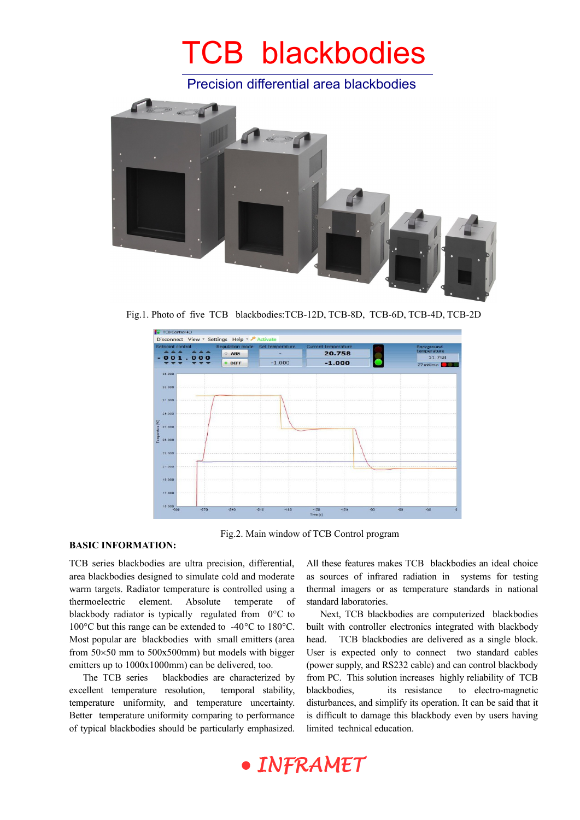Precision differential area blackbodies



Fig.1. Photo of five TCB blackbodies:TCB-12D, TCB-8D, TCB-6D, TCB-4D, TCB-2D



#### **BASIC INFORMATION:**

Fig.2. Main window of TCB Control program

TCB series blackbodies are ultra precision, differential, area blackbodies designed to simulate cold and moderate warm targets. Radiator temperature is controlled using a thermoelectric element. Absolute temperate of blackbody radiator is typically regulated from  $0^{\circ}$ C to 100 $\degree$ C but this range can be extended to -40 $\degree$ C to 180 $\degree$ C. Most popular are blackbodies with small emitters (area from  $50\times50$  mm to  $500x500$ mm) but models with bigger emitters up to 1000x1000mm) can be delivered, too.

The TCB series blackbodies are characterized by excellent temperature resolution, temporal stability, temperature uniformity, and temperature uncertainty. Better temperature uniformity comparing to performance of typical blackbodies should be particularly emphasized. All these features makes TCB blackbodies an ideal choice as sources of infrared radiation in systems for testing thermal imagers or as temperature standards in national standard laboratories.

Next, TCB blackbodies are computerized blackbodies built with controller electronics integrated with blackbody head. TCB blackbodies are delivered as a single block. User is expected only to connect two standard cables (power supply, and RS232 cable) and can control blackbody from PC. This solution increases highly reliability of TCB blackbodies, its resistance to electro-magnetic disturbances, and simplify its operation. It can be said that it is difficult to damage this blackbody even by users having limited technical education.

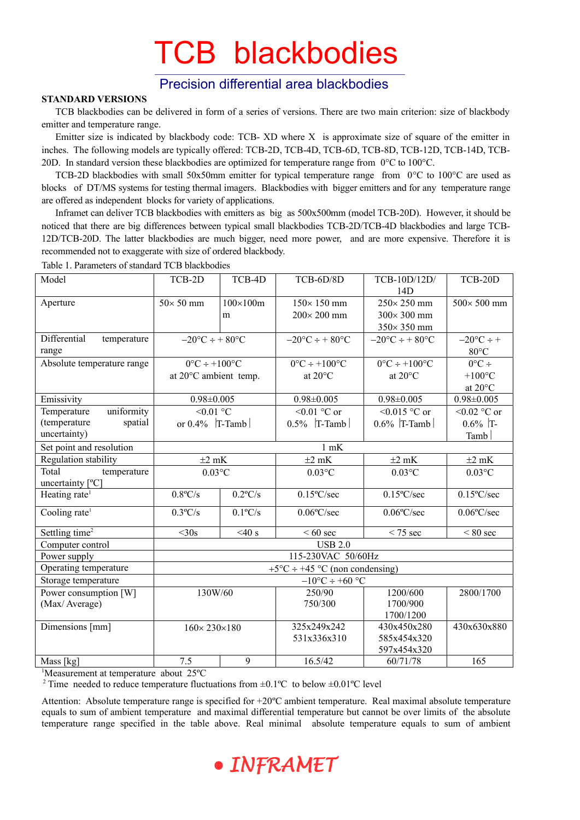### Precision differential area blackbodies

#### **STANDARD VERSIONS**

TCB blackbodies can be delivered in form of a series of versions. There are two main criterion: size of blackbody emitter and temperature range.

Emitter size is indicated by blackbody code: TCB- XD where X is approximate size of square of the emitter in inches. The following models are typically offered: TCB-2D, TCB-4D, TCB-6D, TCB-8D, TCB-12D, TCB-14D, TCB-20D. In standard version these blackbodies are optimized for temperature range from  $0^{\circ}$ C to 100 $^{\circ}$ C.

TCB-2D blackbodies with small 50x50mm emitter for typical temperature range from  $0^{\circ}$ C to 100 $^{\circ}$ C are used as blocks of DT/MS systems for testing thermal imagers. Blackbodies with bigger emitters and for any temperature range are offered as independent blocks for variety of applications.

Inframet can deliver TCB blackbodies with emitters as big as 500x500mm (model TCB-20D). However, it should be noticed that there are big differences between typical small blackbodies TCB-2D/TCB-4D blackbodies and large TCB-12D/TCB-20D. The latter blackbodies are much bigger, need more power, and are more expensive. Therefore it is recommended not to exaggerate with size of ordered blackbody.

| Model                       | TCB-2D                                                         | TCB-4D          | TCB-6D/8D                      | TCB-10D/12D/                   | TCB-20D               |
|-----------------------------|----------------------------------------------------------------|-----------------|--------------------------------|--------------------------------|-----------------------|
|                             |                                                                |                 |                                | 14D                            |                       |
| Aperture                    | $50\times 50$ mm                                               | $100\times100m$ | 150×150 mm                     | $250 \times 250$ mm            | 500×500 mm            |
|                             |                                                                | m               | $200 \times 200$ mm            | 300×300 mm                     |                       |
|                             |                                                                |                 |                                | 350×350 mm                     |                       |
| Differential<br>temperature | $-20$ °C ÷ + 80°C                                              |                 | $-20$ °C ÷ + 80°C              | $-20$ °C ÷ + 80°C              | $-20$ °C ÷ +          |
| range                       |                                                                |                 |                                |                                | $80^{\circ}$ C        |
| Absolute temperature range  | $0^{\circ}C \div 100^{\circ}C$                                 |                 | $0^{\circ}C \div 100^{\circ}C$ | $0^{\circ}C \div 100^{\circ}C$ | $0^{\circ}C \div$     |
|                             | at 20°C ambient temp.                                          |                 | at $20^{\circ}$ C              | at $20^{\circ}$ C              | $+100$ °C             |
|                             |                                                                |                 |                                |                                | at 20°C               |
| Emissivity                  | $0.98 \pm 0.005$                                               |                 | $0.98 \pm 0.005$               | $0.98 \pm 0.005$               | $0.98 \pm 0.005$      |
| uniformity<br>Temperature   | $< 0.01$ °C                                                    |                 | $< 0.01$ °C or                 | $<0.015$ °C or                 | <0.02 $^{\circ}$ C or |
| (temperature<br>spatial     | or $0.4\%$ T-Tamb                                              |                 | $0.5\%$ T-Tamb                 | $0.6\%$ T-Tamb                 | $0.6\%$ T-            |
| uncertainty)                |                                                                |                 |                                |                                | Tamb                  |
| Set point and resolution    | $1$ mK                                                         |                 |                                |                                |                       |
| Regulation stability        | $\pm 2$ mK                                                     |                 | $\pm 2$ mK                     | $\pm 2$ mK                     | $\pm 2$ mK            |
| Total<br>temperature        | $0.03$ °C                                                      |                 | $0.03$ °C                      | $0.03$ °C                      | $0.03$ °C             |
| uncertainty [°C]            |                                                                |                 |                                |                                |                       |
| Heating rate <sup>1</sup>   | $0.8$ °C/s                                                     | $0.2$ °C/s      | $0.15^{\circ}$ C/sec           | $0.15^{\circ}$ C/sec           | $0.15^{\circ}$ C/sec  |
| Cooling rate <sup>1</sup>   | $0.3$ °C/s                                                     | $0.1$ °C/s      | $0.06^{\circ}$ C/sec           | $0.06^{\circ}$ C/sec           | $0.06^{\circ}$ C/sec  |
| Settling time <sup>2</sup>  | $<$ 30s                                                        | $<$ 40 s        | $<60$ sec                      | $< 75$ sec                     | $< 80$ sec            |
| Computer control            | <b>USB 2.0</b>                                                 |                 |                                |                                |                       |
| Power supply                | 115-230VAC 50/60Hz                                             |                 |                                |                                |                       |
| Operating temperature       | +5 $\rm{^{\circ}C} \div 445$ $\rm{^{\circ}C}$ (non condensing) |                 |                                |                                |                       |
| Storage temperature         | $-10$ °C ÷ +60 °C                                              |                 |                                |                                |                       |
| Power consumption [W]       | 130W/60                                                        |                 | 250/90                         | 1200/600                       | 2800/1700             |
| (Max/Average)               |                                                                |                 | 750/300                        | 1700/900                       |                       |
|                             |                                                                |                 |                                | 1700/1200                      |                       |
| Dimensions [mm]             | $160 \times 230 \times 180$                                    |                 | 325x249x242                    | 430x450x280                    | 430x630x880           |
|                             |                                                                |                 | 531x336x310                    | 585x454x320                    |                       |
|                             |                                                                |                 |                                | 597x454x320                    |                       |
| Mass [kg]                   | 7.5                                                            | 9               | 16.5/42                        | 60/71/78                       | 165                   |

Table 1. Parameters of standard TCB blackbodies

<sup>1</sup>Measurement at temperature about 25°C

<sup>2</sup> Time needed to reduce temperature fluctuations from  $\pm 0.1^{\circ}$ C to below  $\pm 0.01^{\circ}$ C level

Attention: Absolute temperature range is specified for +20ºC ambient temperature. Real maximal absolute temperature equals to sum of ambient temperature and maximal differential temperature but cannot be over limits of the absolute temperature range specified in the table above. Real minimal absolute temperature equals to sum of ambient

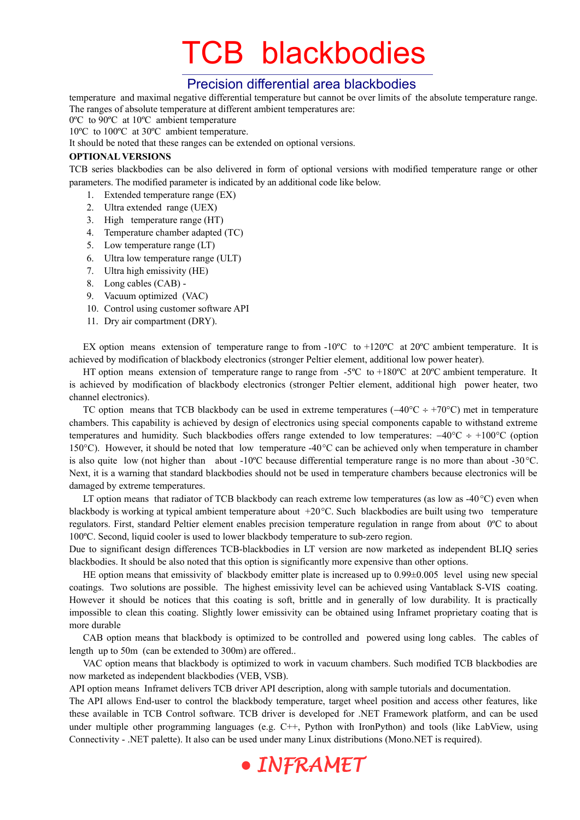### Precision differential area blackbodies

temperature and maximal negative differential temperature but cannot be over limits of the absolute temperature range. The ranges of absolute temperature at different ambient temperatures are:

0ºC to 90ºC at 10ºC ambient temperature

10ºC to 100ºC at 30ºC ambient temperature.

It should be noted that these ranges can be extended on optional versions.

#### **OPTIONAL VERSIONS**

TCB series blackbodies can be also delivered in form of optional versions with modified temperature range or other parameters. The modified parameter is indicated by an additional code like below.

- 1. Extended temperature range (EX)
- 2. Ultra extended range (UEX)
- 3. High temperature range (HT)
- 4. Temperature chamber adapted (TC)
- 5. Low temperature range (LT)
- 6. Ultra low temperature range (ULT)
- 7. Ultra high emissivity (HE)
- 8. Long cables (CAB) -
- 9. Vacuum optimized (VAC)
- 10. Control using customer software API
- 11. Dry air compartment (DRY).

EX option means extension of temperature range to from  $-10^{\circ}$ C to  $+120^{\circ}$ C at 20<sup>o</sup>C ambient temperature. It is achieved by modification of blackbody electronics (stronger Peltier element, additional low power heater).

HT option means extension of temperature range to range from  $-5^{\circ}$ C to  $+180^{\circ}$ C at 20 $^{\circ}$ C ambient temperature. It is achieved by modification of blackbody electronics (stronger Peltier element, additional high power heater, two channel electronics).

TC option means that TCB blackbody can be used in extreme temperatures  $(-40^{\circ}C \div 70^{\circ}C)$  met in temperature chambers. This capability is achieved by design of electronics using special components capable to withstand extreme temperatures and humidity. Such blackbodies offers range extended to low temperatures:  $-40^{\circ}\text{C} \div +100^{\circ}\text{C}$  (option 150 $^{\circ}$ C). However, it should be noted that low temperature -40 $^{\circ}$ C can be achieved only when temperature in chamber is also quite low (not higher than about -10 $\degree$ C because differential temperature range is no more than about -30 $\degree$ C. Next, it is a warning that standard blackbodies should not be used in temperature chambers because electronics will be damaged by extreme temperatures.

LT option means that radiator of TCB blackbody can reach extreme low temperatures (as low as -40 $\degree$ C) even when blackbody is working at typical ambient temperature about  $+20^{\circ}$ C. Such blackbodies are built using two temperature regulators. First, standard Peltier element enables precision temperature regulation in range from about 0ºC to about 100ºC. Second, liquid cooler is used to lower blackbody temperature to sub-zero region.

Due to significant design differences TCB-blackbodies in LT version are now marketed as independent BLIQ series blackbodies. It should be also noted that this option is significantly more expensive than other options.

HE option means that emissivity of blackbody emitter plate is increased up to 0.99±0.005 level using new special coatings. Two solutions are possible. The highest emissivity level can be achieved using Vantablack S-VIS coating. However it should be notices that this coating is soft, brittle and in generally of low durability. It is practically impossible to clean this coating. Slightly lower emissivity can be obtained using Inframet proprietary coating that is more durable

CAB option means that blackbody is optimized to be controlled and powered using long cables. The cables of length up to 50m (can be extended to 300m) are offered..

VAC option means that blackbody is optimized to work in vacuum chambers. Such modified TCB blackbodies are now marketed as independent blackbodies (VEB, VSB).

API option means Inframet delivers TCB driver API description, along with sample tutorials and documentation.

The API allows End-user to control the blackbody temperature, target wheel position and access other features, like these available in TCB Control software. TCB driver is developed for .NET Framework platform, and can be used under multiple other programming languages (e.g. C++, Python with IronPython) and tools (like LabView, using Connectivity - .NET palette). It also can be used under many Linux distributions (Mono.NET is required).